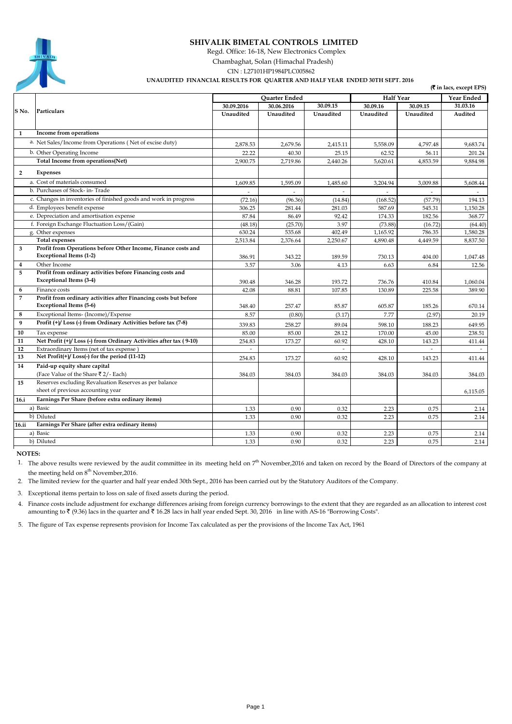# 

# **SHIVALIK BIMETAL CONTROLS LIMITED**

Regd. Office: 16-18, New Electronics Complex

Chambaghat, Solan (Himachal Pradesh)

CIN : L27101HP1984PLC005862

 **UNAUDITED FINANCIAL RESULTS FOR QUARTER AND HALF YEAR ENDED 30TH SEPT. 2016**

**(**` **in lacs, except EPS)**

|              | (у in facs, except EP5)                                           |            |               |           |                  |            |          |
|--------------|-------------------------------------------------------------------|------------|---------------|-----------|------------------|------------|----------|
|              | Particulars                                                       |            | Quarter Ended |           | <b>Half Year</b> | Year Ended |          |
| S No.        |                                                                   | 30.09.2016 | 30.06.2016    | 30.09.15  | 30.09.16         | 30.09.15   | 31.03.16 |
|              |                                                                   | Unaudited  | Unaudited     | Unaudited | Unaudited        | Unaudited  | Audited  |
|              |                                                                   |            |               |           |                  |            |          |
| $\mathbf{1}$ | Income from operations                                            |            |               |           |                  |            |          |
|              | a. Net Sales/Income from Operations (Net of excise duty)          | 2,878.53   | 2,679.56      | 2,415.11  | 5,558.09         | 4,797.48   | 9,683.74 |
|              | b. Other Operating Income                                         | 22.22      | 40.30         | 25.15     | 62.52            | 56.11      | 201.24   |
|              | Total Income from operations(Net)                                 | 2,900.75   | 2,719.86      | 2,440.26  | 5,620.61         | 4,853.59   | 9,884.98 |
| $\mathbf{2}$ | <b>Expenses</b>                                                   |            |               |           |                  |            |          |
|              | a. Cost of materials consumed                                     | 1,609.85   | 1,595.09      | 1,485.60  | 3,204.94         | 3,009.88   | 5,608.44 |
|              | b. Purchases of Stock- in-Trade                                   |            |               |           |                  |            |          |
|              | c. Changes in inventories of finished goods and work in progress  | (72.16)    | (96.36)       | (14.84)   | (168.52)         | (57.79)    | 194.13   |
|              | d. Employees benefit expense                                      | 306.25     | 281.44        | 281.03    | 587.69           | 545.31     | 1,150.28 |
|              | e. Depreciation and amortisation expense                          | 87.84      | 86.49         | 92.42     | 174.33           | 182.56     | 368.77   |
|              | f. Foreign Exchange Fluctuation Loss/(Gain)                       | (48.18)    | (25.70)       | 3.97      | (73.88)          | (16.72)    | (64.40)  |
|              | g. Other expenses                                                 | 630.24     | 535.68        | 402.49    | 1,165.92         | 786.35     | 1,580.28 |
|              | <b>Total expenses</b>                                             | 2,513.84   | 2,376.64      | 2,250.67  | 4,890.48         | 4,449.59   | 8,837.50 |
| 3            | Profit from Operations before Other Income, Finance costs and     |            |               |           |                  |            |          |
|              | <b>Exceptional Items (1-2)</b>                                    | 386.91     | 343.22        | 189.59    | 730.13           | 404.00     | 1,047.48 |
| 4            | Other Income                                                      | 3.57       | 3.06          | 4.13      | 6.63             | 6.84       | 12.56    |
| 5            | Profit from ordinary activities before Financing costs and        |            |               |           |                  |            |          |
|              | Exceptional Items (3-4)                                           | 390.48     | 346.28        | 193.72    | 736.76           | 410.84     | 1,060.04 |
| 6            | Finance costs                                                     | 42.08      | 88.81         | 107.85    | 130.89           | 225.58     | 389.90   |
| 7            | Profit from ordinary activities after Financing costs but before  |            |               |           |                  |            |          |
|              | <b>Exceptional Items (5-6)</b>                                    | 348.40     | 257.47        | 85.87     | 605.87           | 185.26     | 670.14   |
| 8            | Exceptional Items- (Income)/Expense                               | 8.57       | (0.80)        | (3.17)    | 7.77             | (2.97)     | 20.19    |
| 9            | Profit (+)/Loss (-) from Ordinary Activities before tax (7-8)     | 339.83     | 258.27        | 89.04     | 598.10           | 188.23     | 649.95   |
| 10           | Tax expense                                                       | 85.00      | 85.00         | 28.12     | 170.00           | 45.00      | 238.51   |
| 11           | Net Profit (+)/Loss (-) from Ordinary Activities after tax (9-10) | 254.83     | 173.27        | 60.92     | 428.10           | 143.23     | 411.44   |
| 12           | Extraordinary Items (net of tax expense)                          |            |               |           |                  |            |          |
| 13           | Net Profit(+)/Loss(-) for the period (11-12)                      | 254.83     | 173.27        | 60.92     | 428.10           | 143.23     | 411.44   |
| 14           | Paid-up equity share capital                                      |            |               |           |                  |            |          |
|              | (Face Value of the Share ₹2/- Each)                               | 384.03     | 384.03        | 384.03    | 384.03           | 384.03     | 384.03   |
| 15           | Reserves excluding Revaluation Reserves as per balance            |            |               |           |                  |            |          |
|              | sheet of previous accounting year                                 |            |               |           |                  |            | 6,115.05 |
| 16.i         | Earnings Per Share (before extra ordinary items)                  |            |               |           |                  |            |          |
|              | a) Basic                                                          | 1.33       | 0.90          | 0.32      | 2.23             | 0.75       | 2.14     |
|              | b) Diluted                                                        | 1.33       | 0.90          | 0.32      | 2.23             | 0.75       | 2.14     |
| 16.ii        | Earnings Per Share (after extra ordinary items)                   |            |               |           |                  |            |          |
|              | a) Basic                                                          | 1.33       | 0.90          | 0.32      | 2.23             | 0.75       | 2.14     |
|              | b) Diluted                                                        | 1.33       | 0.90          | 0.32      | 2.23             | 0.75       | 2.14     |

 **NOTES:**

1. The above results were reviewed by the audit committee in its meeting held on  $7<sup>th</sup>$  November, 2016 and taken on record by the Board of Directors of the company at the meeting held on 8<sup>th</sup> November, 2016.

2. The limited review for the quarter and half year ended 30th Sept., 2016 has been carried out by the Statutory Auditors of the Company.

3. Exceptional items pertain to loss on sale of fixed assets during the period.

4. Finance costs include adjustment for exchange differences arising from foreign currency borrowings to the extent that they are regarded as an allocation to interest cost amounting to  $\bar{\tau}$  (9.36) lacs in the quarter and  $\bar{\tau}$  16.28 lacs in half year ended Sept. 30, 2016 in line with AS-16 "Borrowing Costs".

5. The figure of Tax expense represents provision for Income Tax calculated as per the provisions of the Income Tax Act, 1961